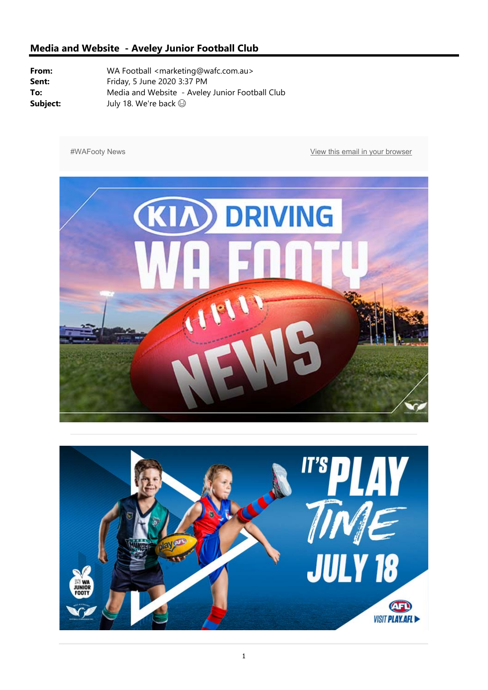#WAFooty News **With a Contract and Secure 2012** View this email in your browser



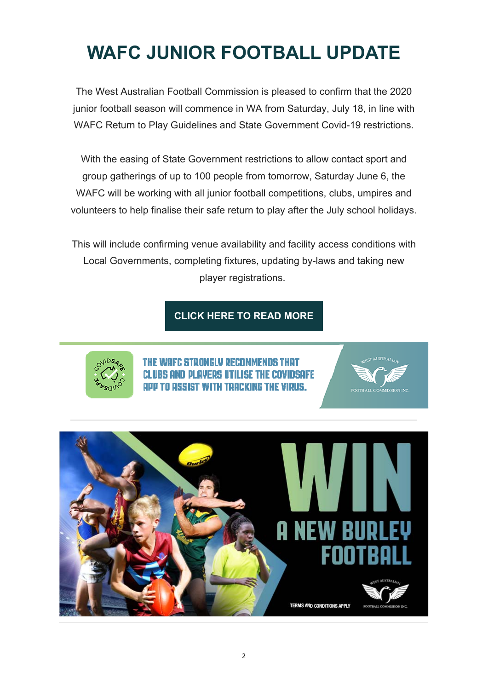## **WAFC JUNIOR FOOTBALL UPDATE**

The West Australian Football Commission is pleased to confirm that the 2020 junior football season will commence in WA from Saturday, July 18, in line with WAFC Return to Play Guidelines and State Government Covid-19 restrictions.

With the easing of State Government restrictions to allow contact sport and group gatherings of up to 100 people from tomorrow, Saturday June 6, the WAFC will be working with all junior football competitions, clubs, umpires and volunteers to help finalise their safe return to play after the July school holidays.

This will include confirming venue availability and facility access conditions with Local Governments, completing fixtures, updating by-laws and taking new player registrations.

#### **CLICK HERE TO READ MORE**



'C STRONGLY RECOMMENDS THAT INGOFF ISIST WITH TRACKING THE VIDUS.

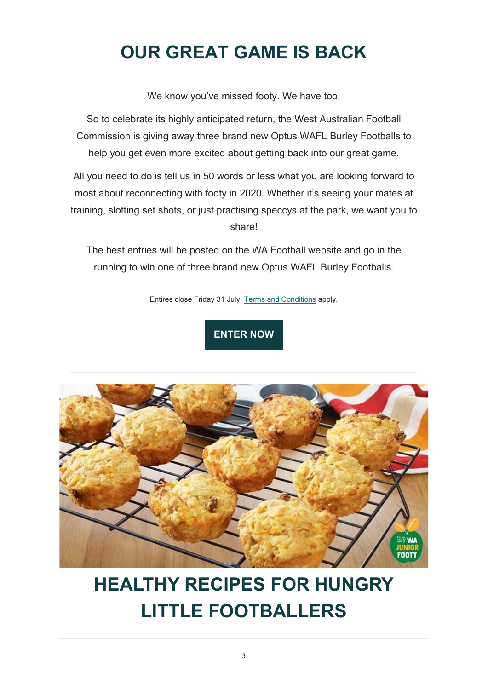## **OUR GREAT GAME IS BACK**

We know you've missed footy. We have too.

So to celebrate its highly anticipated return, the West Australian Football Commission is giving away three brand new Optus WAFL Burley Footballs to help you get even more excited about getting back into our great game.

All you need to do is tell us in 50 words or less what you are looking forward to most about reconnecting with footy in 2020. Whether it's seeing your mates at training, slotting set shots, or just practising speccys at the park, we want you to share!

The best entries will be posted on the WA Football website and go in the running to win one of three brand new Optus WAFL Burley Footballs.

Entires close Friday 31 July, Terms and Conditions apply.

### **ENTER NOW**



# **HEALTHY RECIPES FOR HUNGRY LITTLE FOOTBALLERS**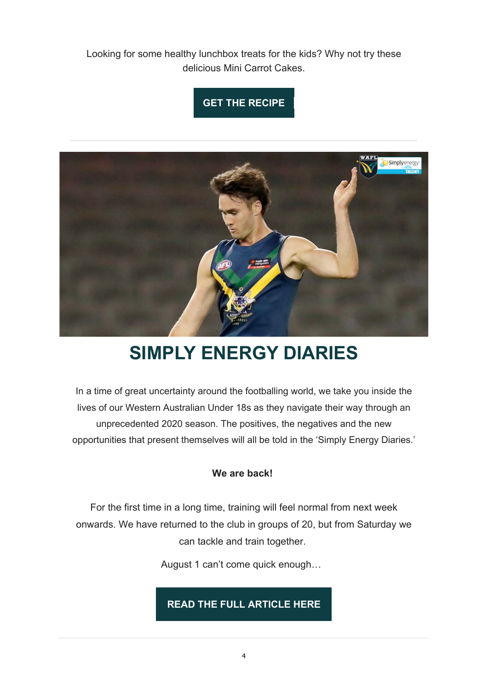Looking for some healthy lunchbox treats for the kids? Why not try these delicious Mini Carrot Cakes.

#### **GET THE RECIPE**



## **SIMPLY ENERGY DIARIES**

In a time of great uncertainty around the footballing world, we take you inside the lives of our Western Australian Under 18s as they navigate their way through an unprecedented 2020 season. The positives, the negatives and the new opportunities that present themselves will all be told in the 'Simply Energy Diaries.'

#### **We are back!**

For the first time in a long time, training will feel normal from next week onwards. We have returned to the club in groups of 20, but from Saturday we can tackle and train together.

August 1 can't come quick enough…

**READ THE FULL ARTICLE HERE**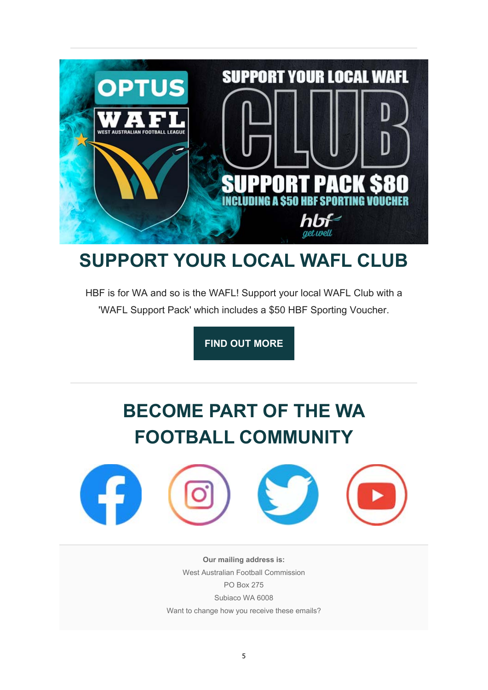

### **SUPPORT YOUR LOCAL WAFL CLUB**

HBF is for WA and so is the WAFL! Support your local WAFL Club with a 'WAFL Support Pack' which includes a \$50 HBF Sporting Voucher.

**FIND OUT MORE**

# **BECOME PART OF THE WA FOOTBALL COMMUNITY**



**Our mailing address is:** West Australian Football Commission PO Box 275 Subiaco WA 6008 Want to change how you receive these emails?